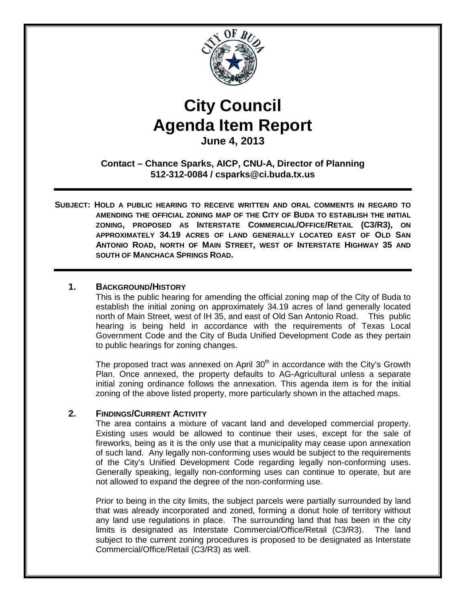

# **City Council Agenda Item Report**

**June 4, 2013**

**Contact – Chance Sparks, AICP, CNU-A, Director of Planning 512-312-0084 / csparks@ci.buda.tx.us**

**SUBJECT: HOLD A PUBLIC HEARING TO RECEIVE WRITTEN AND ORAL COMMENTS IN REGARD TO AMENDING THE OFFICIAL ZONING MAP OF THE CITY OF BUDA TO ESTABLISH THE INITIAL ZONING, PROPOSED AS INTERSTATE COMMERCIAL/OFFICE/RETAIL (C3/R3), ON APPROXIMATELY 34.19 ACRES OF LAND GENERALLY LOCATED EAST OF OLD SAN ANTONIO ROAD, NORTH OF MAIN STREET, WEST OF INTERSTATE HIGHWAY 35 AND SOUTH OF MANCHACA SPRINGS ROAD.**

## **1. BACKGROUND/HISTORY**

This is the public hearing for amending the official zoning map of the City of Buda to establish the initial zoning on approximately 34.19 acres of land generally located north of Main Street, west of IH 35, and east of Old San Antonio Road. This public hearing is being held in accordance with the requirements of Texas Local Government Code and the City of Buda Unified Development Code as they pertain to public hearings for zoning changes.

The proposed tract was annexed on April  $30<sup>th</sup>$  in accordance with the City's Growth Plan. Once annexed, the property defaults to AG-Agricultural unless a separate initial zoning ordinance follows the annexation. This agenda item is for the initial zoning of the above listed property, more particularly shown in the attached maps.

## **2. FINDINGS/CURRENT ACTIVITY**

The area contains a mixture of vacant land and developed commercial property. Existing uses would be allowed to continue their uses, except for the sale of fireworks, being as it is the only use that a municipality may cease upon annexation of such land. Any legally non-conforming uses would be subject to the requirements of the City's Unified Development Code regarding legally non-conforming uses. Generally speaking, legally non-conforming uses can continue to operate, but are not allowed to expand the degree of the non-conforming use.

Prior to being in the city limits, the subject parcels were partially surrounded by land that was already incorporated and zoned, forming a donut hole of territory without any land use regulations in place. The surrounding land that has been in the city limits is designated as Interstate Commercial/Office/Retail (C3/R3). The land subject to the current zoning procedures is proposed to be designated as Interstate Commercial/Office/Retail (C3/R3) as well.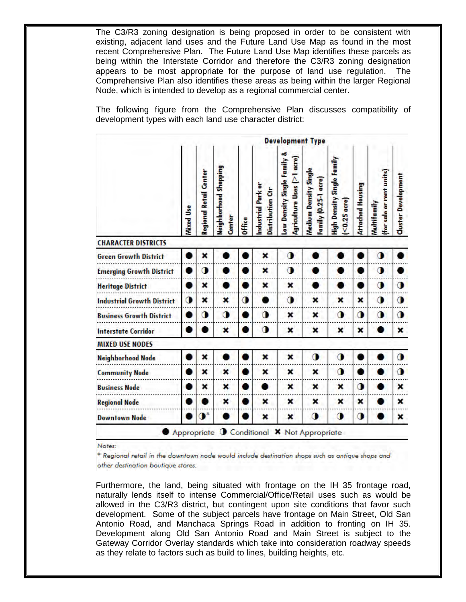The C3/R3 zoning designation is being proposed in order to be consistent with existing, adjacent land uses and the Future Land Use Map as found in the most recent Comprehensive Plan. The Future Land Use Map identifies these parcels as being within the Interstate Corridor and therefore the C3/R3 zoning designation appears to be most appropriate for the purpose of land use regulation. The Comprehensive Plan also identifies these areas as being within the larger Regional Node, which is intended to develop as a regional commercial center.

The following figure from the Comprehensive Plan discusses compatibility of development types with each land use character district:

|                                   | <b>Development Type</b> |                               |                                 |           |                                        |                                                               |                                                      |                                             |                         |                                        |                            |
|-----------------------------------|-------------------------|-------------------------------|---------------------------------|-----------|----------------------------------------|---------------------------------------------------------------|------------------------------------------------------|---------------------------------------------|-------------------------|----------------------------------------|----------------------------|
|                                   | <b>Wixed Use</b>        | <b>Regional Retail Center</b> | Neighborhood Shopping<br>Center | Office    | Industrial Park or<br>Distribution Ctr | ۵Ö<br>Agriculture Uses (>1 acre)<br>Low Density Single Family | <b>Nedium Density Single</b><br>Family (0.25-1 acre) | High Density Single Family<br>$<$ 0.25 acre | <b>Attached Housing</b> | (for sale or rent units)<br>Wwhitemily | <b>Cluster Development</b> |
| <b>CHARACTER DISTRICTS</b>        |                         |                               |                                 |           |                                        |                                                               |                                                      |                                             |                         |                                        |                            |
| <b>Green Growth District</b>      |                         | ×                             |                                 |           | ×                                      | 0                                                             |                                                      |                                             |                         | $\bullet$                              |                            |
| <b>Emerging Growth District</b>   |                         | О                             |                                 |           | ×                                      | о                                                             |                                                      |                                             |                         | О                                      |                            |
| <b>Heritage District</b>          |                         | ×                             |                                 |           | ×                                      | ×                                                             |                                                      |                                             |                         | о                                      | $\bullet$                  |
| <b>Industrial Growth District</b> | $\bullet$               | ×                             | ×                               | $\bullet$ |                                        | о                                                             | ×                                                    | ×                                           | ×                       | о                                      | $\bullet$                  |
| <b>Business Growth District</b>   |                         | $\mathbf 0$                   | о                               |           | $\mathbf 0$                            | ×                                                             | ×                                                    | 0                                           | о                       | О                                      | $\bullet$                  |
| <b>Interstate Corridor</b>        |                         |                               | ×                               |           | о                                      | ×                                                             | ×                                                    | ×                                           | ×                       |                                        | ×                          |
| <b>MIXED USE NODES</b>            |                         |                               |                                 |           |                                        |                                                               |                                                      |                                             |                         |                                        |                            |
| <b>Neighborhood Node</b>          |                         | ×                             |                                 |           | ×                                      | ×                                                             | $\mathbf 0$                                          | $\bullet$                                   |                         |                                        | $\bullet$                  |
| <b>Community Node</b>             |                         | ×                             | ×                               |           | ×                                      | ×                                                             | ×                                                    | 0                                           |                         |                                        | $\bullet$                  |
| <b>Business Node</b>              |                         | ×                             | ×                               |           |                                        | ×                                                             | ×                                                    | ×                                           | $\bullet$               |                                        | ×                          |
| <b>Regional Node</b>              |                         |                               | ×                               |           | ×                                      | ×                                                             | ×                                                    | ×                                           | ×                       |                                        | ×                          |
| <b>Downtown Node</b>              |                         | $\mathbf{O}^*$                |                                 |           | ×                                      | ×                                                             | о                                                    | ◑                                           | $\bullet$               |                                        | ×                          |

Notes:

\* Regional retail in the downtown node would include destination shops such as antique shops and other destination boutique stores.

Furthermore, the land, being situated with frontage on the IH 35 frontage road, naturally lends itself to intense Commercial/Office/Retail uses such as would be allowed in the C3/R3 district, but contingent upon site conditions that favor such development. Some of the subject parcels have frontage on Main Street, Old San Antonio Road, and Manchaca Springs Road in addition to fronting on IH 35. Development along Old San Antonio Road and Main Street is subject to the Gateway Corridor Overlay standards which take into consideration roadway speeds as they relate to factors such as build to lines, building heights, etc.